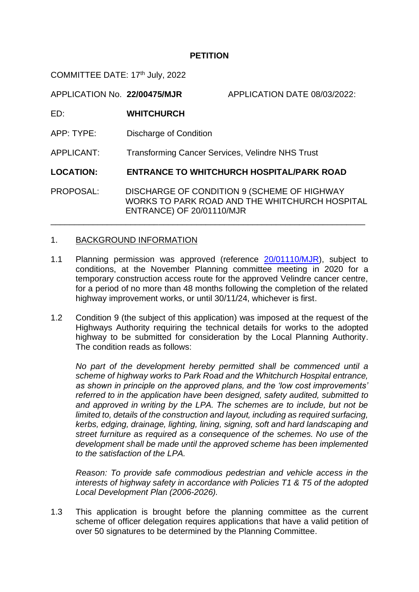### **PETITION**

COMMITTEE DATE: 17<sup>th</sup> July, 2022

APPLICATION No. **22/00475/MJR** APPLICATION DATE 08/03/2022: ED: **WHITCHURCH** APP: TYPE: Discharge of Condition APPLICANT: Transforming Cancer Services, Velindre NHS Trust **LOCATION: ENTRANCE TO WHITCHURCH HOSPITAL/PARK ROAD**

PROPOSAL: DISCHARGE OF CONDITION 9 (SCHEME OF HIGHWAY WORKS TO PARK ROAD AND THE WHITCHURCH HOSPITAL ENTRANCE) OF 20/01110/MJR

\_\_\_\_\_\_\_\_\_\_\_\_\_\_\_\_\_\_\_\_\_\_\_\_\_\_\_\_\_\_\_\_\_\_\_\_\_\_\_\_\_\_\_\_\_\_\_\_\_\_\_\_\_\_\_\_\_\_\_\_\_\_\_\_\_\_\_

### 1. BACKGROUND INFORMATION

- 1.1 Planning permission was approved (reference [20/01110/MJR\)](https://planningonline.cardiff.gov.uk/online-applications/applicationDetails.do?keyVal=_CARDIFF_DCAPR_131168&activeTab=summary), subject to conditions, at the November Planning committee meeting in 2020 for a temporary construction access route for the approved Velindre cancer centre, for a period of no more than 48 months following the completion of the related highway improvement works, or until 30/11/24, whichever is first.
- 1.2 Condition 9 (the subject of this application) was imposed at the request of the Highways Authority requiring the technical details for works to the adopted highway to be submitted for consideration by the Local Planning Authority. The condition reads as follows:

*No part of the development hereby permitted shall be commenced until a scheme of highway works to Park Road and the Whitchurch Hospital entrance, as shown in principle on the approved plans, and the 'low cost improvements' referred to in the application have been designed, safety audited, submitted to and approved in writing by the LPA. The schemes are to include, but not be limited to, details of the construction and layout, including as required surfacing, kerbs, edging, drainage, lighting, lining, signing, soft and hard landscaping and street furniture as required as a consequence of the schemes. No use of the development shall be made until the approved scheme has been implemented to the satisfaction of the LPA.* 

*Reason: To provide safe commodious pedestrian and vehicle access in the interests of highway safety in accordance with Policies T1 & T5 of the adopted Local Development Plan (2006-2026).*

1.3 This application is brought before the planning committee as the current scheme of officer delegation requires applications that have a valid petition of over 50 signatures to be determined by the Planning Committee.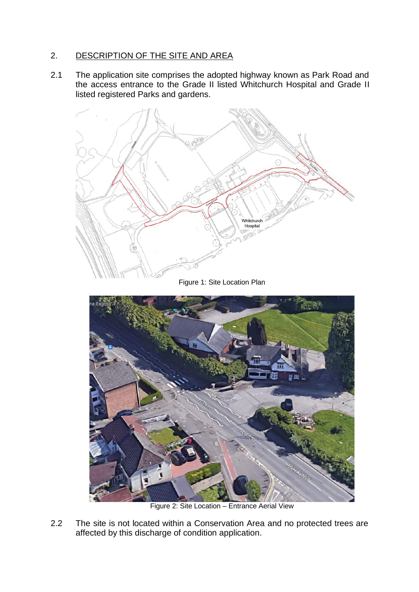# 2. DESCRIPTION OF THE SITE AND AREA

2.1 The application site comprises the adopted highway known as Park Road and the access entrance to the Grade II listed Whitchurch Hospital and Grade II listed registered Parks and gardens.



Figure 1: Site Location Plan



Figure 2: Site Location – Entrance Aerial View

2.2 The site is not located within a Conservation Area and no protected trees are affected by this discharge of condition application.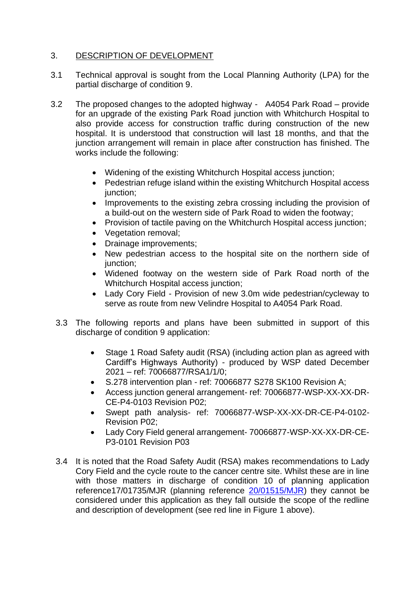## 3. DESCRIPTION OF DEVELOPMENT

- 3.1 Technical approval is sought from the Local Planning Authority (LPA) for the partial discharge of condition 9.
- 3.2 The proposed changes to the adopted highway A4054 Park Road provide for an upgrade of the existing Park Road junction with Whitchurch Hospital to also provide access for construction traffic during construction of the new hospital. It is understood that construction will last 18 months, and that the junction arrangement will remain in place after construction has finished. The works include the following:
	- Widening of the existing Whitchurch Hospital access junction;
	- Pedestrian refuge island within the existing Whitchurch Hospital access junction;
	- Improvements to the existing zebra crossing including the provision of a build-out on the western side of Park Road to widen the footway;
	- Provision of tactile paving on the Whitchurch Hospital access junction;
	- Vegetation removal;
	- Drainage improvements;
	- New pedestrian access to the hospital site on the northern side of junction:
	- Widened footway on the western side of Park Road north of the Whitchurch Hospital access junction;
	- Lady Cory Field Provision of new 3.0m wide pedestrian/cycleway to serve as route from new Velindre Hospital to A4054 Park Road.
	- 3.3 The following reports and plans have been submitted in support of this discharge of condition 9 application:
		- Stage 1 Road Safety audit (RSA) (including action plan as agreed with Cardiff's Highways Authority) - produced by WSP dated December 2021 – ref: 70066877/RSA1/1/0;
		- S.278 intervention plan ref: 70066877 S278 SK100 Revision A;
		- Access junction general arrangement- ref: 70066877-WSP-XX-XX-DR-CE-P4-0103 Revision P02;
		- Swept path analysis- ref: 70066877-WSP-XX-XX-DR-CE-P4-0102- Revision P02;
		- Lady Cory Field general arrangement- 70066877-WSP-XX-XX-DR-CE-P3-0101 Revision P03
	- 3.4 It is noted that the Road Safety Audit (RSA) makes recommendations to Lady Cory Field and the cycle route to the cancer centre site. Whilst these are in line with those matters in discharge of condition 10 of planning application reference17/01735/MJR (planning reference [20/01515/MJR\)](https://planningonline.cardiff.gov.uk/online-applications/simpleSearchResults.do?action=firstPage) they cannot be considered under this application as they fall outside the scope of the redline and description of development (see red line in Figure 1 above).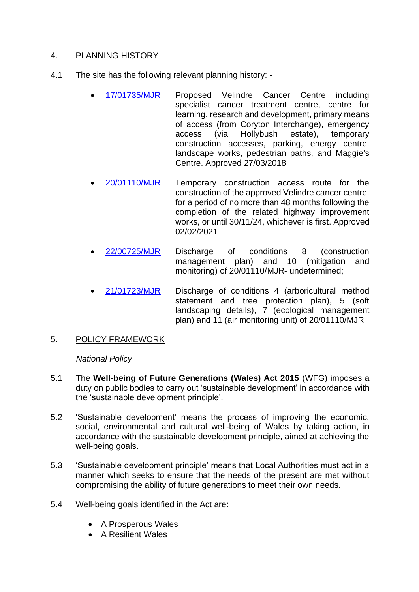# 4. PLANNING HISTORY

- 4.1 The site has the following relevant planning history:
	- [17/01735/MJR](https://planningonline.cardiff.gov.uk/online-applications/applicationDetails.do?keyVal=_CARDIFF_DCAPR_120740&activeTab=summary) Proposed Velindre Cancer Centre including specialist cancer treatment centre, centre for learning, research and development, primary means of access (from Coryton Interchange), emergency access (via Hollybush estate), temporary construction accesses, parking, energy centre, landscape works, pedestrian paths, and Maggie's Centre. Approved 27/03/2018
	- [20/01110/MJR](https://planningonline.cardiff.gov.uk/online-applications/applicationDetails.do?keyVal=_CARDIFF_DCAPR_131168&activeTab=summary) Temporary construction access route for the construction of the approved Velindre cancer centre, for a period of no more than 48 months following the completion of the related highway improvement works, or until 30/11/24, whichever is first. Approved 02/02/2021
	- [22/00725/MJR](https://planningonline.cardiff.gov.uk/online-applications/simpleSearchResults.do?action=firstPage) Discharge of conditions 8 (construction management plan) and 10 (mitigation and monitoring) of 20/01110/MJR- undetermined;
	- [21/01723/MJR](https://planningonline.cardiff.gov.uk/online-applications/simpleSearchResults.do?action=firstPage) Discharge of conditions 4 (arboricultural method statement and tree protection plan), 5 (soft landscaping details), 7 (ecological management plan) and 11 (air monitoring unit) of 20/01110/MJR
- 5. POLICY FRAMEWORK

### *National Policy*

- 5.1 The **Well-being of Future Generations (Wales) Act 2015** (WFG) imposes a duty on public bodies to carry out 'sustainable development' in accordance with the 'sustainable development principle'.
- 5.2 'Sustainable development' means the process of improving the economic, social, environmental and cultural well-being of Wales by taking action, in accordance with the sustainable development principle, aimed at achieving the well-being goals.
- 5.3 'Sustainable development principle' means that Local Authorities must act in a manner which seeks to ensure that the needs of the present are met without compromising the ability of future generations to meet their own needs.
- 5.4 Well-being goals identified in the Act are:
	- A Prosperous Wales
	- A Resilient Wales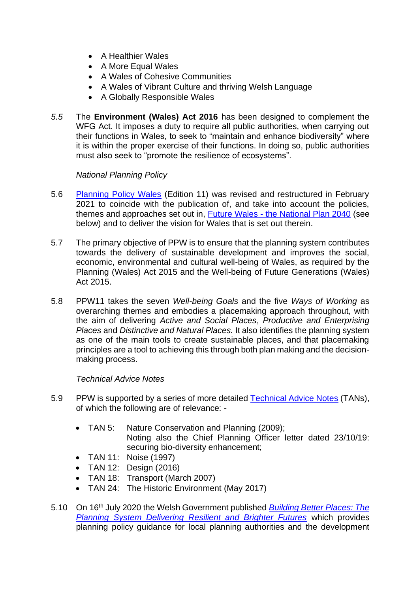- A Healthier Wales
- A More Equal Wales
- A Wales of Cohesive Communities
- A Wales of Vibrant Culture and thriving Welsh Language
- A Globally Responsible Wales
- *5.5* The **Environment (Wales) Act 2016** has been designed to complement the WFG Act. It imposes a duty to require all public authorities, when carrying out their functions in Wales, to seek to "maintain and enhance biodiversity" where it is within the proper exercise of their functions. In doing so, public authorities must also seek to "promote the resilience of ecosystems".

### *National Planning Policy*

- 5.6 [Planning Policy Wales](https://gov.wales/sites/default/files/publications/2021-02/planning-policy-wales-edition-11_0.pdf) (Edition 11) was revised and restructured in February 2021 to coincide with the publication of, and take into account the policies, themes and approaches set out in, Future Wales - [the National Plan 2040](https://gov.wales/sites/default/files/publications/2021-02/future-wales-the-national-plan-2040.pdf) (see below) and to deliver the vision for Wales that is set out therein.
- 5.7 The primary objective of PPW is to ensure that the planning system contributes towards the delivery of sustainable development and improves the social, economic, environmental and cultural well-being of Wales, as required by the Planning (Wales) Act 2015 and the Well-being of Future Generations (Wales) Act 2015.
- 5.8 PPW11 takes the seven *Well-being Goals* and the five *Ways of Working* as overarching themes and embodies a placemaking approach throughout, with the aim of delivering *Active and Social Places*, *Productive and Enterprising Places* and *Distinctive and Natural Places.* It also identifies the planning system as one of the main tools to create sustainable places, and that placemaking principles are a tool to achieving this through both plan making and the decisionmaking process.

### *Technical Advice Notes*

- 5.9 PPW is supported by a series of more detailed [Technical Advice Notes](https://gov.wales/technical-advice-notes) (TANs), of which the following are of relevance: -
	- TAN 5: Nature Conservation and Planning (2009); Noting also the Chief Planning Officer letter dated 23/10/19: securing bio-diversity enhancement;
	- TAN 11: Noise (1997)
	- TAN 12: Design (2016)
	- TAN 18: Transport (March 2007)
	- TAN 24: The Historic Environment (May 2017)
- 5.10 On 16th July 2020 the Welsh Government published *[Building Better Places: The](https://gov.wales/planning-policy-covid-19-recovery)  [Planning System Delivering Resilient and Brighter Futures](https://gov.wales/planning-policy-covid-19-recovery)* which provides planning policy guidance for local planning authorities and the development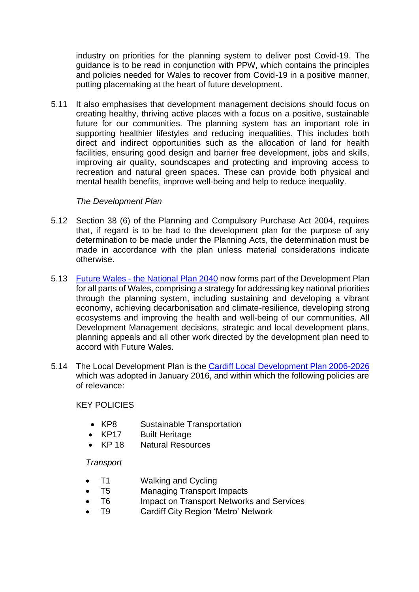industry on priorities for the planning system to deliver post Covid-19. The guidance is to be read in conjunction with PPW, which contains the principles and policies needed for Wales to recover from Covid-19 in a positive manner, putting placemaking at the heart of future development.

5.11 It also emphasises that development management decisions should focus on creating healthy, thriving active places with a focus on a positive, sustainable future for our communities. The planning system has an important role in supporting healthier lifestyles and reducing inequalities. This includes both direct and indirect opportunities such as the allocation of land for health facilities, ensuring good design and barrier free development, jobs and skills, improving air quality, soundscapes and protecting and improving access to recreation and natural green spaces. These can provide both physical and mental health benefits, improve well-being and help to reduce inequality.

### *The Development Plan*

- 5.12 Section 38 (6) of the Planning and Compulsory Purchase Act 2004, requires that, if regard is to be had to the development plan for the purpose of any determination to be made under the Planning Acts, the determination must be made in accordance with the plan unless material considerations indicate otherwise.
- 5.13 Future Wales [the National Plan 2040](https://gov.wales/sites/default/files/publications/2021-02/future-wales-the-national-plan-2040.pdf) now forms part of the Development Plan for all parts of Wales, comprising a strategy for addressing key national priorities through the planning system, including sustaining and developing a vibrant economy, achieving decarbonisation and climate-resilience, developing strong ecosystems and improving the health and well-being of our communities. All Development Management decisions, strategic and local development plans, planning appeals and all other work directed by the development plan need to accord with Future Wales.
- 5.14 The Local Development Plan is the [Cardiff Local Development Plan 2006-2026](https://www.cardiffldp.co.uk/adopted-local-development-plan/) which was adopted in January 2016, and within which the following policies are of relevance:

### KEY POLICIES

- KP8 Sustainable Transportation
- KP17 Built Heritage
- KP 18 Natural Resources

### *Transport*

- T1 Walking and Cycling
- T5 Managing Transport Impacts
- T6 Impact on Transport Networks and Services
- T9 Cardiff City Region 'Metro' Network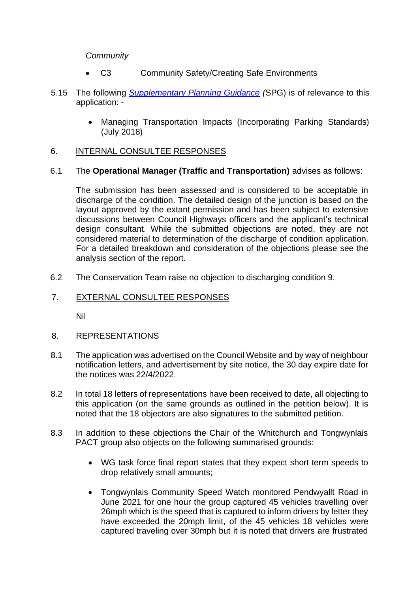### *Community*

- C3 Community Safety/Creating Safe Environments
- 5.15 The following *[Supplementary Planning Guidance](https://www.cardiff.gov.uk/ENG/resident/Planning/Planning-Policy/Supplementary-Planning-Guidance/Pages/Supplementary-Planning-Guidance.aspx) (*SPG) is of relevance to this application: -
	- Managing Transportation Impacts (Incorporating Parking Standards) (July 2018)

### 6. INTERNAL CONSULTEE RESPONSES

#### 6.1 The **Operational Manager (Traffic and Transportation)** advises as follows:

The submission has been assessed and is considered to be acceptable in discharge of the condition. The detailed design of the junction is based on the layout approved by the extant permission and has been subject to extensive discussions between Council Highways officers and the applicant's technical design consultant. While the submitted objections are noted, they are not considered material to determination of the discharge of condition application. For a detailed breakdown and consideration of the objections please see the analysis section of the report.

6.2 The Conservation Team raise no objection to discharging condition 9.

### 7. EXTERNAL CONSULTEE RESPONSES

Nil

### 8. REPRESENTATIONS

- 8.1 The application was advertised on the Council Website and by way of neighbour notification letters, and advertisement by site notice, the 30 day expire date for the notices was 22/4/2022.
- 8.2 In total 18 letters of representations have been received to date, all objecting to this application (on the same grounds as outlined in the petition below). It is noted that the 18 objectors are also signatures to the submitted petition.
- 8.3 In addition to these objections the Chair of the Whitchurch and Tongwynlais PACT group also objects on the following summarised grounds:
	- WG task force final report states that they expect short term speeds to drop relatively small amounts;
	- Tongwynlais Community Speed Watch monitored Pendwyallt Road in June 2021 for one hour the group captured 45 vehicles travelling over 26mph which is the speed that is captured to inform drivers by letter they have exceeded the 20mph limit, of the 45 vehicles 18 vehicles were captured traveling over 30mph but it is noted that drivers are frustrated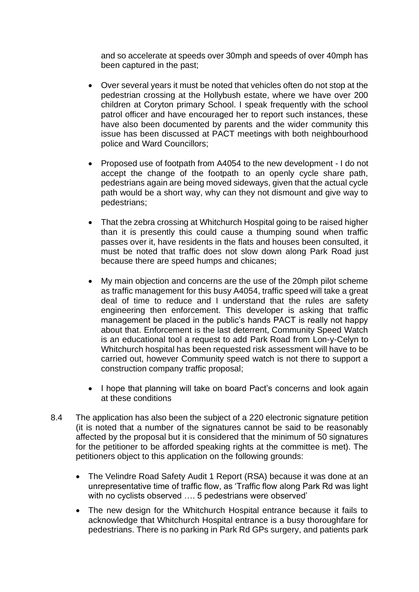and so accelerate at speeds over 30mph and speeds of over 40mph has been captured in the past;

- Over several years it must be noted that vehicles often do not stop at the pedestrian crossing at the Hollybush estate, where we have over 200 children at Coryton primary School. I speak frequently with the school patrol officer and have encouraged her to report such instances, these have also been documented by parents and the wider community this issue has been discussed at PACT meetings with both neighbourhood police and Ward Councillors;
- Proposed use of footpath from A4054 to the new development I do not accept the change of the footpath to an openly cycle share path, pedestrians again are being moved sideways, given that the actual cycle path would be a short way, why can they not dismount and give way to pedestrians;
- That the zebra crossing at Whitchurch Hospital going to be raised higher than it is presently this could cause a thumping sound when traffic passes over it, have residents in the flats and houses been consulted, it must be noted that traffic does not slow down along Park Road just because there are speed humps and chicanes;
- My main objection and concerns are the use of the 20mph pilot scheme as traffic management for this busy A4054, traffic speed will take a great deal of time to reduce and I understand that the rules are safety engineering then enforcement. This developer is asking that traffic management be placed in the public's hands PACT is really not happy about that. Enforcement is the last deterrent, Community Speed Watch is an educational tool a request to add Park Road from Lon-y-Celyn to Whitchurch hospital has been requested risk assessment will have to be carried out, however Community speed watch is not there to support a construction company traffic proposal;
- I hope that planning will take on board Pact's concerns and look again at these conditions
- 8.4 The application has also been the subject of a 220 electronic signature petition (it is noted that a number of the signatures cannot be said to be reasonably affected by the proposal but it is considered that the minimum of 50 signatures for the petitioner to be afforded speaking rights at the committee is met). The petitioners object to this application on the following grounds:
	- The Velindre Road Safety Audit 1 Report (RSA) because it was done at an unrepresentative time of traffic flow, as 'Traffic flow along Park Rd was light with no cyclists observed …. 5 pedestrians were observed'
	- The new design for the Whitchurch Hospital entrance because it fails to acknowledge that Whitchurch Hospital entrance is a busy thoroughfare for pedestrians. There is no parking in Park Rd GPs surgery, and patients park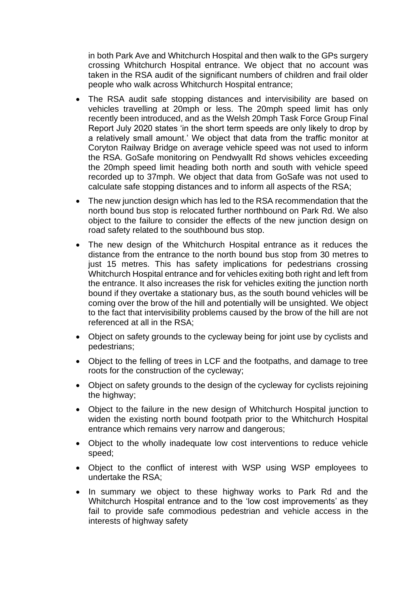in both Park Ave and Whitchurch Hospital and then walk to the GPs surgery crossing Whitchurch Hospital entrance. We object that no account was taken in the RSA audit of the significant numbers of children and frail older people who walk across Whitchurch Hospital entrance;

- The RSA audit safe stopping distances and intervisibility are based on vehicles travelling at 20mph or less. The 20mph speed limit has only recently been introduced, and as the Welsh 20mph Task Force Group Final Report July 2020 states 'in the short term speeds are only likely to drop by a relatively small amount.' We object that data from the traffic monitor at Coryton Railway Bridge on average vehicle speed was not used to inform the RSA. GoSafe monitoring on Pendwyallt Rd shows vehicles exceeding the 20mph speed limit heading both north and south with vehicle speed recorded up to 37mph. We object that data from GoSafe was not used to calculate safe stopping distances and to inform all aspects of the RSA;
- The new junction design which has led to the RSA recommendation that the north bound bus stop is relocated further northbound on Park Rd. We also object to the failure to consider the effects of the new junction design on road safety related to the southbound bus stop.
- The new design of the Whitchurch Hospital entrance as it reduces the distance from the entrance to the north bound bus stop from 30 metres to just 15 metres. This has safety implications for pedestrians crossing Whitchurch Hospital entrance and for vehicles exiting both right and left from the entrance. It also increases the risk for vehicles exiting the junction north bound if they overtake a stationary bus, as the south bound vehicles will be coming over the brow of the hill and potentially will be unsighted. We object to the fact that intervisibility problems caused by the brow of the hill are not referenced at all in the RSA;
- Object on safety grounds to the cycleway being for joint use by cyclists and pedestrians;
- Object to the felling of trees in LCF and the footpaths, and damage to tree roots for the construction of the cycleway;
- Object on safety grounds to the design of the cycleway for cyclists rejoining the highway;
- Object to the failure in the new design of Whitchurch Hospital junction to widen the existing north bound footpath prior to the Whitchurch Hospital entrance which remains very narrow and dangerous;
- Object to the wholly inadequate low cost interventions to reduce vehicle speed;
- Object to the conflict of interest with WSP using WSP employees to undertake the RSA;
- In summary we object to these highway works to Park Rd and the Whitchurch Hospital entrance and to the 'low cost improvements' as they fail to provide safe commodious pedestrian and vehicle access in the interests of highway safety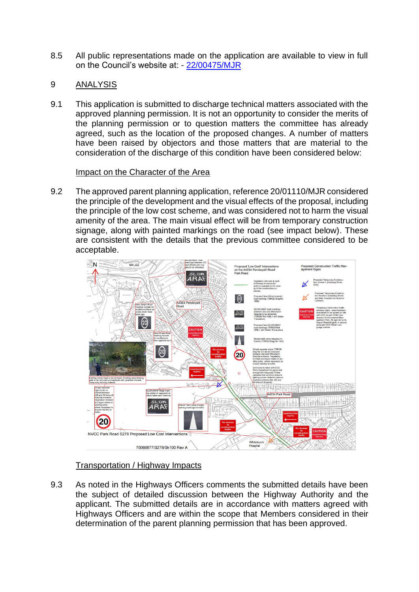8.5 All public representations made on the application are available to view in full on the Council's website at: - [22/00475/MJR](https://planningonline.cardiff.gov.uk/online-applications/applicationDetails.do?activeTab=documents&keyVal=_CARDIFF_DCAPR_138531)

### 9 ANALYSIS

9.1 This application is submitted to discharge technical matters associated with the approved planning permission. It is not an opportunity to consider the merits of the planning permission or to question matters the committee has already agreed, such as the location of the proposed changes. A number of matters have been raised by objectors and those matters that are material to the consideration of the discharge of this condition have been considered below:

### Impact on the Character of the Area

9.2 The approved parent planning application, reference 20/01110/MJR considered the principle of the development and the visual effects of the proposal, including the principle of the low cost scheme, and was considered not to harm the visual amenity of the area. The main visual effect will be from temporary construction signage, along with painted markings on the road (see impact below). These are consistent with the details that the previous committee considered to be acceptable.



## Transportation / Highway Impacts

9.3 As noted in the Highways Officers comments the submitted details have been the subject of detailed discussion between the Highway Authority and the applicant. The submitted details are in accordance with matters agreed with Highways Officers and are within the scope that Members considered in their determination of the parent planning permission that has been approved.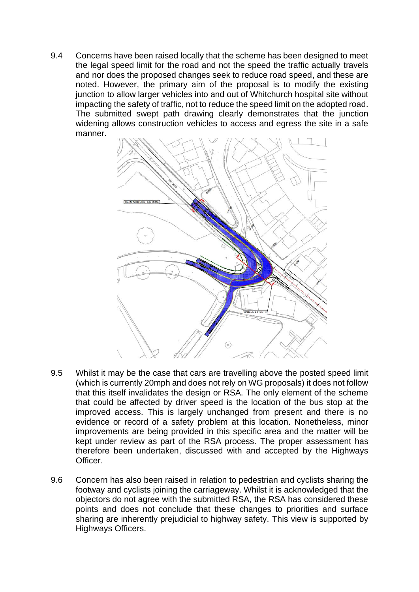9.4 Concerns have been raised locally that the scheme has been designed to meet the legal speed limit for the road and not the speed the traffic actually travels and nor does the proposed changes seek to reduce road speed, and these are noted. However, the primary aim of the proposal is to modify the existing junction to allow larger vehicles into and out of Whitchurch hospital site without impacting the safety of traffic, not to reduce the speed limit on the adopted road. The submitted swept path drawing clearly demonstrates that the junction widening allows construction vehicles to access and egress the site in a safe manner.



- 9.5 Whilst it may be the case that cars are travelling above the posted speed limit (which is currently 20mph and does not rely on WG proposals) it does not follow that this itself invalidates the design or RSA. The only element of the scheme that could be affected by driver speed is the location of the bus stop at the improved access. This is largely unchanged from present and there is no evidence or record of a safety problem at this location. Nonetheless, minor improvements are being provided in this specific area and the matter will be kept under review as part of the RSA process. The proper assessment has therefore been undertaken, discussed with and accepted by the Highways Officer.
- 9.6 Concern has also been raised in relation to pedestrian and cyclists sharing the footway and cyclists joining the carriageway. Whilst it is acknowledged that the objectors do not agree with the submitted RSA, the RSA has considered these points and does not conclude that these changes to priorities and surface sharing are inherently prejudicial to highway safety. This view is supported by Highways Officers.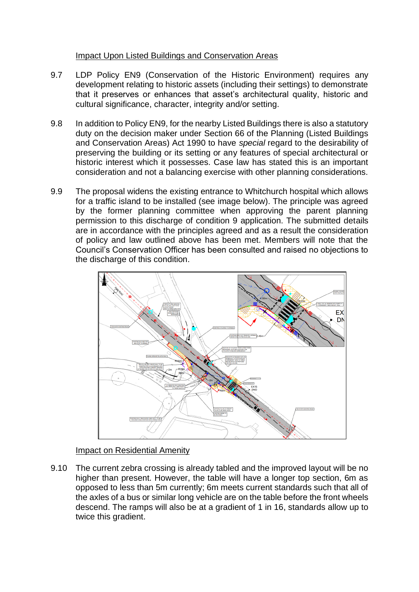### Impact Upon Listed Buildings and Conservation Areas

- 9.7 LDP Policy EN9 (Conservation of the Historic Environment) requires any development relating to historic assets (including their settings) to demonstrate that it preserves or enhances that asset's architectural quality, historic and cultural significance, character, integrity and/or setting.
- 9.8 In addition to Policy EN9, for the nearby Listed Buildings there is also a statutory duty on the decision maker under Section 66 of the Planning (Listed Buildings and Conservation Areas) Act 1990 to have *special* regard to the desirability of preserving the building or its setting or any features of special architectural or historic interest which it possesses. Case law has stated this is an important consideration and not a balancing exercise with other planning considerations.
- 9.9 The proposal widens the existing entrance to Whitchurch hospital which allows for a traffic island to be installed (see image below). The principle was agreed by the former planning committee when approving the parent planning permission to this discharge of condition 9 application. The submitted details are in accordance with the principles agreed and as a result the consideration of policy and law outlined above has been met. Members will note that the Council's Conservation Officer has been consulted and raised no objections to the discharge of this condition.



### Impact on Residential Amenity

9.10 The current zebra crossing is already tabled and the improved layout will be no higher than present. However, the table will have a longer top section, 6m as opposed to less than 5m currently; 6m meets current standards such that all of the axles of a bus or similar long vehicle are on the table before the front wheels descend. The ramps will also be at a gradient of 1 in 16, standards allow up to twice this gradient.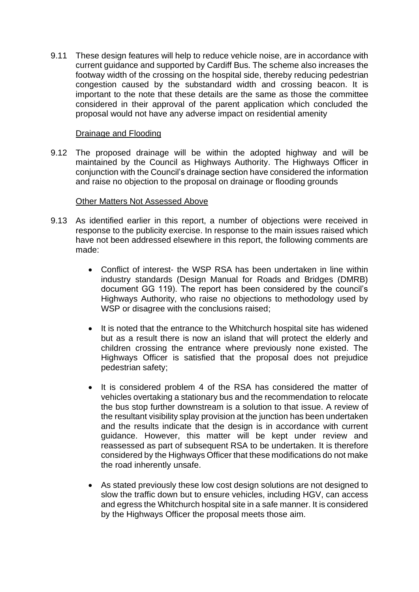9.11 These design features will help to reduce vehicle noise, are in accordance with current guidance and supported by Cardiff Bus. The scheme also increases the footway width of the crossing on the hospital side, thereby reducing pedestrian congestion caused by the substandard width and crossing beacon. It is important to the note that these details are the same as those the committee considered in their approval of the parent application which concluded the proposal would not have any adverse impact on residential amenity

### Drainage and Flooding

9.12 The proposed drainage will be within the adopted highway and will be maintained by the Council as Highways Authority. The Highways Officer in conjunction with the Council's drainage section have considered the information and raise no objection to the proposal on drainage or flooding grounds

### Other Matters Not Assessed Above

- 9.13 As identified earlier in this report, a number of objections were received in response to the publicity exercise. In response to the main issues raised which have not been addressed elsewhere in this report, the following comments are made:
	- Conflict of interest- the WSP RSA has been undertaken in line within industry standards (Design Manual for Roads and Bridges (DMRB) document GG 119). The report has been considered by the council's Highways Authority, who raise no objections to methodology used by WSP or disagree with the conclusions raised;
	- It is noted that the entrance to the Whitchurch hospital site has widened but as a result there is now an island that will protect the elderly and children crossing the entrance where previously none existed. The Highways Officer is satisfied that the proposal does not prejudice pedestrian safety;
	- It is considered problem 4 of the RSA has considered the matter of vehicles overtaking a stationary bus and the recommendation to relocate the bus stop further downstream is a solution to that issue. A review of the resultant visibility splay provision at the junction has been undertaken and the results indicate that the design is in accordance with current guidance. However, this matter will be kept under review and reassessed as part of subsequent RSA to be undertaken. It is therefore considered by the Highways Officer that these modifications do not make the road inherently unsafe.
	- As stated previously these low cost design solutions are not designed to slow the traffic down but to ensure vehicles, including HGV, can access and egress the Whitchurch hospital site in a safe manner. It is considered by the Highways Officer the proposal meets those aim.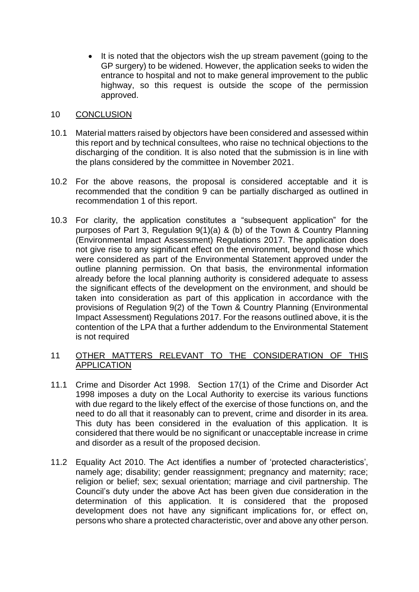• It is noted that the objectors wish the up stream pavement (going to the GP surgery) to be widened. However, the application seeks to widen the entrance to hospital and not to make general improvement to the public highway, so this request is outside the scope of the permission approved.

#### 10 CONCLUSION

- 10.1 Material matters raised by objectors have been considered and assessed within this report and by technical consultees, who raise no technical objections to the discharging of the condition. It is also noted that the submission is in line with the plans considered by the committee in November 2021.
- 10.2 For the above reasons, the proposal is considered acceptable and it is recommended that the condition 9 can be partially discharged as outlined in recommendation 1 of this report.
- 10.3 For clarity, the application constitutes a "subsequent application" for the purposes of Part 3, Regulation 9(1)(a) & (b) of the Town & Country Planning (Environmental Impact Assessment) Regulations 2017. The application does not give rise to any significant effect on the environment, beyond those which were considered as part of the Environmental Statement approved under the outline planning permission. On that basis, the environmental information already before the local planning authority is considered adequate to assess the significant effects of the development on the environment, and should be taken into consideration as part of this application in accordance with the provisions of Regulation 9(2) of the Town & Country Planning (Environmental Impact Assessment) Regulations 2017. For the reasons outlined above, it is the contention of the LPA that a further addendum to the Environmental Statement is not required

### 11 OTHER MATTERS RELEVANT TO THE CONSIDERATION OF THIS APPLICATION

- 11.1 Crime and Disorder Act 1998. Section 17(1) of the Crime and Disorder Act 1998 imposes a duty on the Local Authority to exercise its various functions with due regard to the likely effect of the exercise of those functions on, and the need to do all that it reasonably can to prevent, crime and disorder in its area. This duty has been considered in the evaluation of this application. It is considered that there would be no significant or unacceptable increase in crime and disorder as a result of the proposed decision.
- 11.2 Equality Act 2010. The Act identifies a number of 'protected characteristics', namely age; disability; gender reassignment; pregnancy and maternity; race; religion or belief; sex; sexual orientation; marriage and civil partnership. The Council's duty under the above Act has been given due consideration in the determination of this application. It is considered that the proposed development does not have any significant implications for, or effect on, persons who share a protected characteristic, over and above any other person.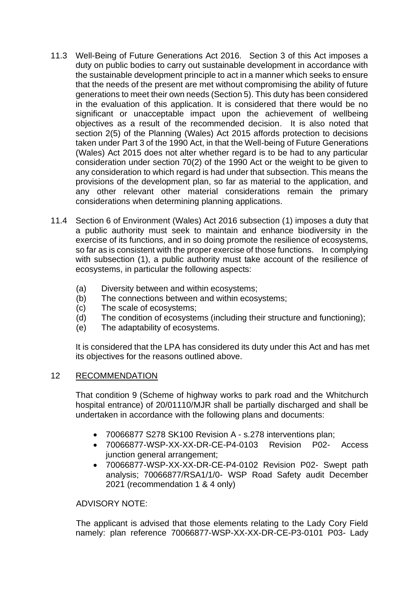- 11.3 Well-Being of Future Generations Act 2016*.* Section 3 of this Act imposes a duty on public bodies to carry out sustainable development in accordance with the sustainable development principle to act in a manner which seeks to ensure that the needs of the present are met without compromising the ability of future generations to meet their own needs (Section 5). This duty has been considered in the evaluation of this application. It is considered that there would be no significant or unacceptable impact upon the achievement of wellbeing objectives as a result of the recommended decision. It is also noted that section 2(5) of the Planning (Wales) Act 2015 affords protection to decisions taken under Part 3 of the 1990 Act, in that the Well-being of Future Generations (Wales) Act 2015 does not alter whether regard is to be had to any particular consideration under section 70(2) of the 1990 Act or the weight to be given to any consideration to which regard is had under that subsection. This means the provisions of the development plan, so far as material to the application, and any other relevant other material considerations remain the primary considerations when determining planning applications.
- 11.4 Section 6 of Environment (Wales) Act 2016 subsection (1) imposes a duty that a public authority must seek to maintain and enhance biodiversity in the exercise of its functions, and in so doing promote the resilience of ecosystems, so far as is consistent with the proper exercise of those functions. In complying with subsection (1), a public authority must take account of the resilience of ecosystems, in particular the following aspects:
	- (a) Diversity between and within ecosystems;
	- (b) The connections between and within ecosystems;
	- (c) The scale of ecosystems;
	- (d) The condition of ecosystems (including their structure and functioning);
	- (e) The adaptability of ecosystems.

It is considered that the LPA has considered its duty under this Act and has met its objectives for the reasons outlined above.

## 12 RECOMMENDATION

That condition 9 (Scheme of highway works to park road and the Whitchurch hospital entrance) of 20/01110/MJR shall be partially discharged and shall be undertaken in accordance with the following plans and documents:

- 70066877 S278 SK100 Revision A s.278 interventions plan;
- 70066877-WSP-XX-XX-DR-CE-P4-0103 Revision P02- Access junction general arrangement;
- 70066877-WSP-XX-XX-DR-CE-P4-0102 Revision P02- Swept path analysis; 70066877/RSA1/1/0- WSP Road Safety audit December 2021 (recommendation 1 & 4 only)

ADVISORY NOTE:

The applicant is advised that those elements relating to the Lady Cory Field namely: plan reference 70066877-WSP-XX-XX-DR-CE-P3-0101 P03- Lady